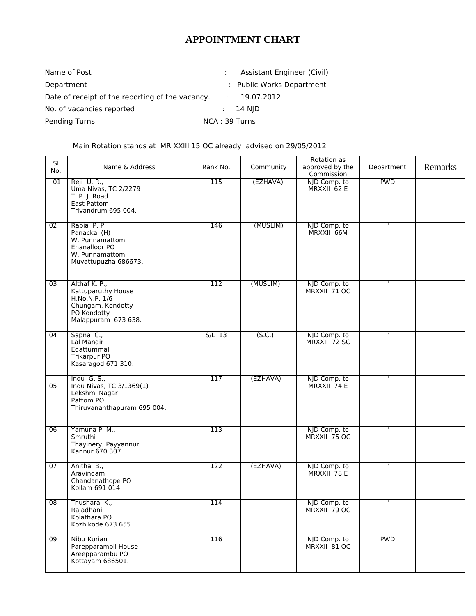## **APPOINTMENT CHART**

| Name of Post                                     |                          | Assistant Engineer (Civil) |
|--------------------------------------------------|--------------------------|----------------------------|
| Department                                       |                          | : Public Works Department  |
| Date of receipt of the reporting of the vacancy. | $\mathcal{L}_{\rm{max}}$ | 19.07.2012                 |
| No. of vacancies reported                        |                          | $: 14 \,$ NJD              |
| Pending Turns                                    | NCA: 39 Turns            |                            |

Main Rotation stands at MR XXIII 15 OC already advised on 29/05/2012

| SI<br>No.       | Name & Address                                                                                                  | Rank No.         | Community | Rotation as<br>approved by the<br>Commission | Department              | Remarks |
|-----------------|-----------------------------------------------------------------------------------------------------------------|------------------|-----------|----------------------------------------------|-------------------------|---------|
| 01              | Reji U.R.,<br>Uma Nivas, TC 2/2279<br>T. P. J. Road<br><b>East Pattom</b><br>Trivandrum 695 004.                | 115              | (EZHAVA)  | NJD Comp. to<br>MRXXII 62 E                  | <b>PWD</b>              |         |
| 02              | Rabia P.P.<br>Panackal (H)<br>W. Punnamattom<br>Enanalloor PO<br>W. Punnamattom<br>Muvattupuzha 686673.         | $\overline{146}$ | (MUSLIM)  | NJD Comp. to<br>MRXXII 66M                   | $\overline{\mathbf{u}}$ |         |
| $\overline{03}$ | Althaf K. P.,<br>Kattuparuthy House<br>H.No.N.P. 1/6<br>Chungam, Kondotty<br>PO Kondotty<br>Malappuram 673 638. | 112              | (MUSLIM)  | NJD Comp. to<br>MRXXII 71 OC                 | π                       |         |
| $\overline{04}$ | Sapna C.,<br>Lal Mandir<br>Edattummal<br>Trikarpur PO<br>Kasaragod 671 310.                                     | $S/L$ 13         | (S.C.)    | NJD Comp. to<br>MRXXII 72 SC                 | π                       |         |
| 05              | Indu G. S.,<br>Indu Nivas, TC 3/1369(1)<br>Lekshmi Nagar<br>Pattom PO<br>Thiruvananthapuram 695 004.            | 117              | (EZHAVA)  | NJD Comp. to<br>MRXXII 74 E                  | π                       |         |
| 06              | Yamuna P. M.,<br>Smruthi<br>Thayinery, Payyannur<br>Kannur 670 307.                                             | 113              |           | NJD Comp. to<br>MRXXII 75 OC                 | π                       |         |
| 07              | Anitha B.,<br>Aravindam<br>Chandanathope PO<br>Kollam 691 014.                                                  | $\overline{122}$ | (EZHAVA)  | NJD Comp. to<br>MRXXII 78 E                  | $\overline{u}$          |         |
| 08              | Thushara K.,<br>Rajadhani<br>Kolathara PO<br>Kozhikode 673 655.                                                 | 114              |           | NJD Comp. to<br>MRXXII 79 OC                 | $\overline{u}$          |         |
| 09              | Nibu Kurian<br>Parepparambil House<br>Areepparambu PO<br>Kottayam 686501.                                       | 116              |           | NJD Comp. to<br>MRXXII 81 OC                 | <b>PWD</b>              |         |